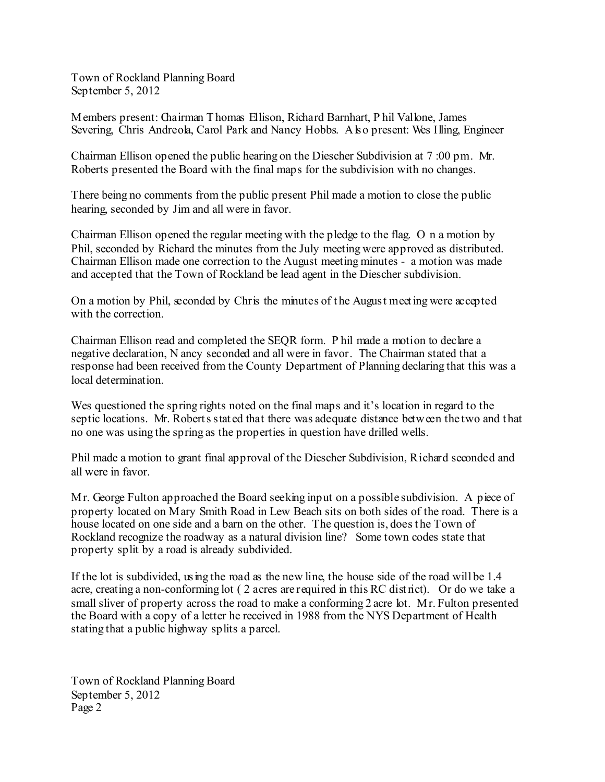Town of Rockland Planning Board September 5, 2012

Members present: Chairman Thomas Ellison, Richard Barnhart, P hil Vallone, James Severing, Chris Andreola, Carol Park and Nancy Hobbs. A ko present: Wes Illing, Engineer

Chairman Ellison opened the public hearing on the Diescher Subdivision at 7 :00 pm. Mr. Roberts presented the Board with the final maps for the subdivision with no changes.

There being no comments from the public present Phil made a motion to close the public hearing, seconded by Jim and all were in favor.

Chairman Ellison opened the regular meeting with the pledge to the flag. O n a motion by Phil, seconded by Richard the minutes from the July meeting were approved as distributed. Chairman Ellison made one correction to the August meeting minutes - a motion was made and accepted that the Town of Rockland be lead agent in the Diescher subdivision.

On a motion by Phil, seconded by Chris the minutes of the August meeting were accepted with the correction.

Chairman Ellison read and completed the SEQR form. P hil made a motion to declare a negative declaration, N ancy seconded and all were in favor. The Chairman stated that a response had been received from the County Department of Planning declaring that this was a local determination.

Wes questioned the spring rights noted on the final maps and it's location in regard to the septic locations. Mr. Roberts stated that there was adequate distance between the two and that no one was using the spring as the properties in question have drilled wells.

Phil made a motion to grant final approval of the Diescher Subdivision, Richard seconded and all were in favor.

Mr. George Fulton approached the Board seeking input on a possible subdivision. A piece of property located on Mary Smith Road in Lew Beach sits on both sides of the road. There is a house located on one side and a barn on the other. The question is, doest he Town of Rockland recognize the roadway as a natural division line? Some town codes state that property split by a road is already subdivided.

If the lot is subdivided, using the road as the new line, the house side of the road will be 1.4 acre, creating a non-conforming lot ( 2 acres are required in this RC district). Or do we take a small sliver of property across the road to make a conforming 2 acre lot. Mr. Fulton presented the Board with a copy of a letter he received in 1988 from the NYS Department of Health stating that a public highway splits a parcel.

Town of Rockland Planning Board September 5, 2012 Page 2